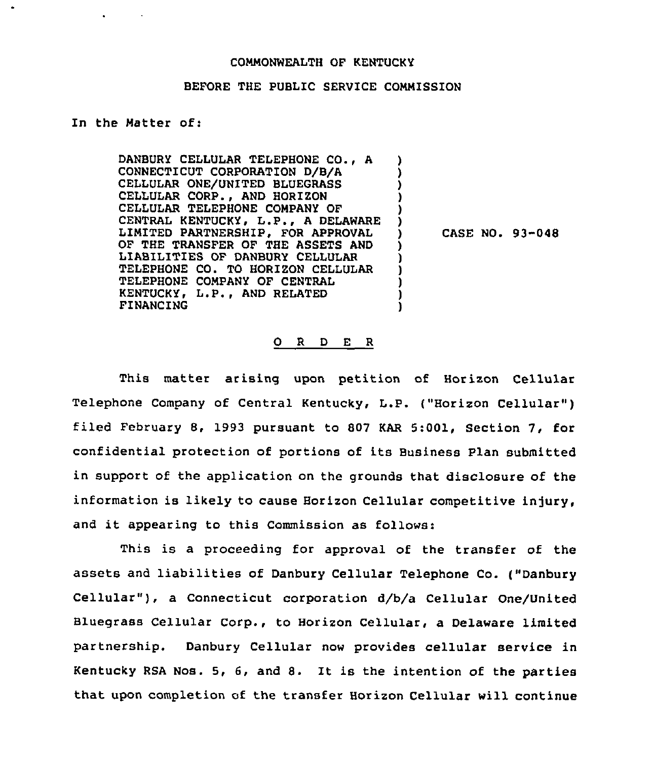## COMMONWEALTH OF KENTUCKY

## BEFORE THE PUBLIC SERVICE COMMISSION

) ) ) ) )  $\left\{ \right\}$ 

) ) ) ) ) )

## In the Matter of:

DANBURY CELLULAR TELEPHONE CO., <sup>A</sup> CONNECTICUT CORPORATION D/B/A CEILULAR ONE/UNITED BLUEGRASS CEILULAR CORP., AND HORIZON CELLULAR TELEPHONE COMPANY OF CENTRAL KENTUCKY, L.P., <sup>A</sup> DELAWARE LIMITED PARTNERSHIP, FOR APPROVAL OF THE TRANSFER OF THE ASSETS AND LIABILITIES OF DANBURY CELLULAR TELEPHONE CO. TO HORIZON CELLULAR TELEPHONE COMPANY OF CENTRAL KENTUCKY, L.P., AND RELATED FINANCING

) CASE NO. 93-048

## 0 <sup>R</sup> <sup>D</sup> E <sup>R</sup>

This matter arising upon petition of Horizon Cellular Telephone Company of Central Kentucky, L.P. {"Horizon Cellular" ) filed February 8, 1993 pursuant to 807 KAR 5:001, Section 7, for confidential protection of portions of its Business Plan submitted in support of the application on the grounds that disclosure of the information is likely to cause Horizon Cellular competitive injury, and it appearing to this Commission as follows:

This is a proceeding for approval of the transfer of the assets and liabilities of Danbury Cellular Telephone Co. {"Danbury Cellular" ), <sup>a</sup> Connecticut corporation d/b/a Cellular One/United Bluegrass Cellular Corp., to Horizon Cellular, a Delaware limited partnership. Danbury Cellular now provides cellular service in Kentucky RSA Nos. 5, 6, and 8. It is the intention of the parties that upon completion of the transfer Horizon Cellular will continue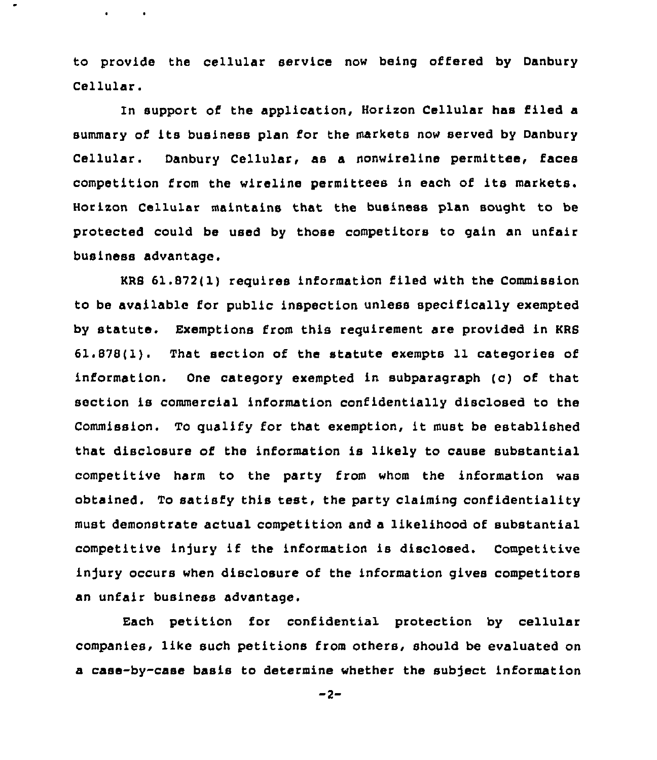to provide the cellular service now being offered by Danbury Cellular.

 $\bullet$  . The second second  $\bullet$  .

In support of the application, Horizon Cellular has filed a summary of its business plan for the markets now served by Danbury Cellular. Danbury Cellular, as a nonwireline permittee, faces competition from the wireline permittees in each of its markets. Horizon Cellular maintains that the business plan sought to be protected could be used by those competitors to gain an unfair business advantage.

HRS 61.872(1) requires information filed with the Commission to be available for public inspection unless specifically exempted by statute. Exemptions from this requirement are provided in KRS 61.878(1). That section of the statute exempts 11 categories of information. One category exempted in subparagraph (c) of that section is commercial information confidentially disclosed to the Commission. To qualify for that exemption, it must be established that disclosure of the information is likely to cause substantial competitive harm to the party from whom the information was obtained. To satisfy this test, the party claiming confidentiality must demonstrate actual competition and a likelihood of substantial competitive injury if the information is disclosed. Competitive injury occurs when disclosure of the information gives competitors an unfair business advantage.

Each petition for confidential protection by cellular companies, like such petitions from others, should be evaluated on a case-by-case basis to determine whether the subject information

 $-2-$